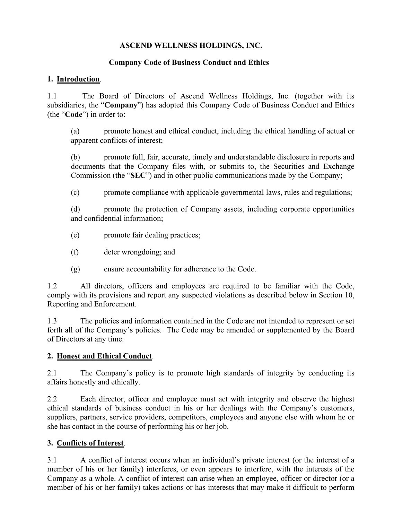### **ASCEND WELLNESS HOLDINGS, INC.**

### **Company Code of Business Conduct and Ethics**

### **1. Introduction**.

1.1 The Board of Directors of Ascend Wellness Holdings, Inc. (together with its subsidiaries, the "**Company**") has adopted this Company Code of Business Conduct and Ethics (the "**Code**") in order to:

(a) promote honest and ethical conduct, including the ethical handling of actual or apparent conflicts of interest;

(b) promote full, fair, accurate, timely and understandable disclosure in reports and documents that the Company files with, or submits to, the Securities and Exchange Commission (the "**SEC**") and in other public communications made by the Company;

(c) promote compliance with applicable governmental laws, rules and regulations;

(d) promote the protection of Company assets, including corporate opportunities and confidential information;

- (e) promote fair dealing practices;
- (f) deter wrongdoing; and
- (g) ensure accountability for adherence to the Code.

1.2 All directors, officers and employees are required to be familiar with the Code, comply with its provisions and report any suspected violations as described below in Section [10,](#page-3-0) Reporting and Enforcement.

1.3 The policies and information contained in the Code are not intended to represent or set forth all of the Company's policies. The Code may be amended or supplemented by the Board of Directors at any time.

#### **2. Honest and Ethical Conduct**.

2.1 The Company's policy is to promote high standards of integrity by conducting its affairs honestly and ethically.

2.2 Each director, officer and employee must act with integrity and observe the highest ethical standards of business conduct in his or her dealings with the Company's customers, suppliers, partners, service providers, competitors, employees and anyone else with whom he or she has contact in the course of performing his or her job.

# **3. Conflicts of Interest**.

3.1 A conflict of interest occurs when an individual's private interest (or the interest of a member of his or her family) interferes, or even appears to interfere, with the interests of the Company as a whole. A conflict of interest can arise when an employee, officer or director (or a member of his or her family) takes actions or has interests that may make it difficult to perform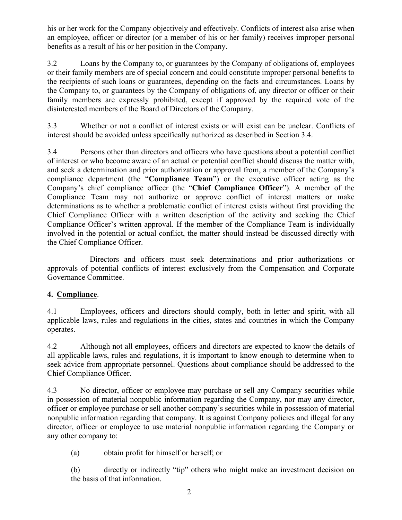his or her work for the Company objectively and effectively. Conflicts of interest also arise when an employee, officer or director (or a member of his or her family) receives improper personal benefits as a result of his or her position in the Company.

3.2 Loans by the Company to, or guarantees by the Company of obligations of, employees or their family members are of special concern and could constitute improper personal benefits to the recipients of such loans or guarantees, depending on the facts and circumstances. Loans by the Company to, or guarantees by the Company of obligations of, any director or officer or their family members are expressly prohibited, except if approved by the required vote of the disinterested members of the Board of Directors of the Company.

3.3 Whether or not a conflict of interest exists or will exist can be unclear. Conflicts of interest should be avoided unless specifically authorized as described in Section [3.4.](#page-1-0)

<span id="page-1-0"></span>3.4 Persons other than directors and officers who have questions about a potential conflict of interest or who become aware of an actual or potential conflict should discuss the matter with, and seek a determination and prior authorization or approval from, a member of the Company's compliance department (the "**Compliance Team**") or the executive officer acting as the Company's chief compliance officer (the "**Chief Compliance Officer**"). A member of the Compliance Team may not authorize or approve conflict of interest matters or make determinations as to whether a problematic conflict of interest exists without first providing the Chief Compliance Officer with a written description of the activity and seeking the Chief Compliance Officer's written approval. If the member of the Compliance Team is individually involved in the potential or actual conflict, the matter should instead be discussed directly with the Chief Compliance Officer.

Directors and officers must seek determinations and prior authorizations or approvals of potential conflicts of interest exclusively from the Compensation and Corporate Governance Committee.

# **4. Compliance**.

4.1 Employees, officers and directors should comply, both in letter and spirit, with all applicable laws, rules and regulations in the cities, states and countries in which the Company operates.

4.2 Although not all employees, officers and directors are expected to know the details of all applicable laws, rules and regulations, it is important to know enough to determine when to seek advice from appropriate personnel. Questions about compliance should be addressed to the Chief Compliance Officer.

4.3 No director, officer or employee may purchase or sell any Company securities while in possession of material nonpublic information regarding the Company, nor may any director, officer or employee purchase or sell another company's securities while in possession of material nonpublic information regarding that company. It is against Company policies and illegal for any director, officer or employee to use material nonpublic information regarding the Company or any other company to:

(a) obtain profit for himself or herself; or

(b) directly or indirectly "tip" others who might make an investment decision on the basis of that information.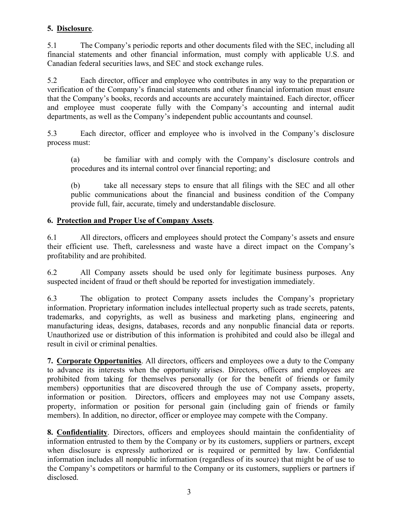### **5. Disclosure**.

5.1 The Company's periodic reports and other documents filed with the SEC, including all financial statements and other financial information, must comply with applicable U.S. and Canadian federal securities laws, and SEC and stock exchange rules.

5.2 Each director, officer and employee who contributes in any way to the preparation or verification of the Company's financial statements and other financial information must ensure that the Company's books, records and accounts are accurately maintained. Each director, officer and employee must cooperate fully with the Company's accounting and internal audit departments, as well as the Company's independent public accountants and counsel.

5.3 Each director, officer and employee who is involved in the Company's disclosure process must:

(a) be familiar with and comply with the Company's disclosure controls and procedures and its internal control over financial reporting; and

(b) take all necessary steps to ensure that all filings with the SEC and all other public communications about the financial and business condition of the Company provide full, fair, accurate, timely and understandable disclosure.

### **6. Protection and Proper Use of Company Assets**.

6.1 All directors, officers and employees should protect the Company's assets and ensure their efficient use. Theft, carelessness and waste have a direct impact on the Company's profitability and are prohibited.

6.2 All Company assets should be used only for legitimate business purposes. Any suspected incident of fraud or theft should be reported for investigation immediately.

6.3 The obligation to protect Company assets includes the Company's proprietary information. Proprietary information includes intellectual property such as trade secrets, patents, trademarks, and copyrights, as well as business and marketing plans, engineering and manufacturing ideas, designs, databases, records and any nonpublic financial data or reports. Unauthorized use or distribution of this information is prohibited and could also be illegal and result in civil or criminal penalties.

**7. Corporate Opportunities**. All directors, officers and employees owe a duty to the Company to advance its interests when the opportunity arises. Directors, officers and employees are prohibited from taking for themselves personally (or for the benefit of friends or family members) opportunities that are discovered through the use of Company assets, property, information or position. Directors, officers and employees may not use Company assets, property, information or position for personal gain (including gain of friends or family members). In addition, no director, officer or employee may compete with the Company.

**8. Confidentiality**. Directors, officers and employees should maintain the confidentiality of information entrusted to them by the Company or by its customers, suppliers or partners, except when disclosure is expressly authorized or is required or permitted by law. Confidential information includes all nonpublic information (regardless of its source) that might be of use to the Company's competitors or harmful to the Company or its customers, suppliers or partners if disclosed.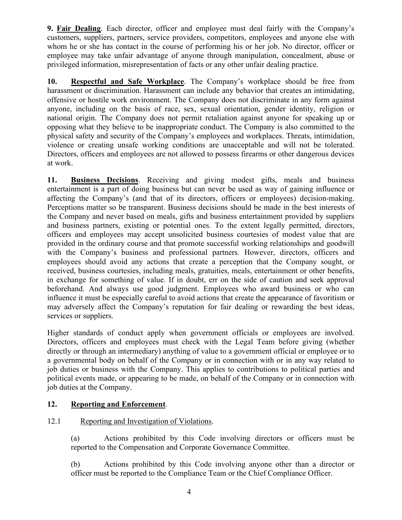**9. Fair Dealing**. Each director, officer and employee must deal fairly with the Company's customers, suppliers, partners, service providers, competitors, employees and anyone else with whom he or she has contact in the course of performing his or her job. No director, officer or employee may take unfair advantage of anyone through manipulation, concealment, abuse or privileged information, misrepresentation of facts or any other unfair dealing practice.

**10. Respectful and Safe Workplace**. The Company's workplace should be free from harassment or discrimination. Harassment can include any behavior that creates an intimidating, offensive or hostile work environment. The Company does not discriminate in any form against anyone, including on the basis of race, sex, sexual orientation, gender identity, religion or national origin. The Company does not permit retaliation against anyone for speaking up or opposing what they believe to be inappropriate conduct. The Company is also committed to the physical safety and security of the Company's employees and workplaces. Threats, intimidation, violence or creating unsafe working conditions are unacceptable and will not be tolerated. Directors, officers and employees are not allowed to possess firearms or other dangerous devices at work.

**11. Business Decisions**. Receiving and giving modest gifts, meals and business entertainment is a part of doing business but can never be used as way of gaining influence or affecting the Company's (and that of its directors, officers or employees) decision-making. Perceptions matter so be transparent. Business decisions should be made in the best interests of the Company and never based on meals, gifts and business entertainment provided by suppliers and business partners, existing or potential ones. To the extent legally permitted, directors, officers and employees may accept unsolicited business courtesies of modest value that are provided in the ordinary course and that promote successful working relationships and goodwill with the Company's business and professional partners. However, directors, officers and employees should avoid any actions that create a perception that the Company sought, or received, business courtesies, including meals, gratuities, meals, entertainment or other benefits, in exchange for something of value. If in doubt, err on the side of caution and seek approval beforehand. And always use good judgment. Employees who award business or who can influence it must be especially careful to avoid actions that create the appearance of favoritism or may adversely affect the Company's reputation for fair dealing or rewarding the best ideas, services or suppliers.

Higher standards of conduct apply when government officials or employees are involved. Directors, officers and employees must check with the Legal Team before giving (whether directly or through an intermediary) anything of value to a government official or employee or to a governmental body on behalf of the Company or in connection with or in any way related to job duties or business with the Company. This applies to contributions to political parties and political events made, or appearing to be made, on behalf of the Company or in connection with job duties at the Company.

# <span id="page-3-0"></span>**12. Reporting and Enforcement**.

# 12.1 Reporting and Investigation of Violations.

(a) Actions prohibited by this Code involving directors or officers must be reported to the Compensation and Corporate Governance Committee.

(b) Actions prohibited by this Code involving anyone other than a director or officer must be reported to the Compliance Team or the Chief Compliance Officer.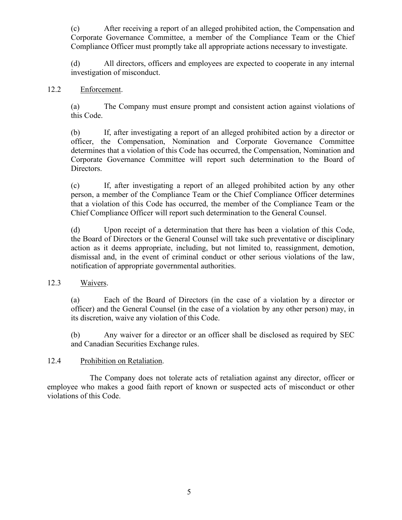(c) After receiving a report of an alleged prohibited action, the Compensation and Corporate Governance Committee, a member of the Compliance Team or the Chief Compliance Officer must promptly take all appropriate actions necessary to investigate.

(d) All directors, officers and employees are expected to cooperate in any internal investigation of misconduct.

#### 12.2 Enforcement.

(a) The Company must ensure prompt and consistent action against violations of this Code.

(b) If, after investigating a report of an alleged prohibited action by a director or officer, the Compensation, Nomination and Corporate Governance Committee determines that a violation of this Code has occurred, the Compensation, Nomination and Corporate Governance Committee will report such determination to the Board of Directors.

(c) If, after investigating a report of an alleged prohibited action by any other person, a member of the Compliance Team or the Chief Compliance Officer determines that a violation of this Code has occurred, the member of the Compliance Team or the Chief Compliance Officer will report such determination to the General Counsel.

(d) Upon receipt of a determination that there has been a violation of this Code, the Board of Directors or the General Counsel will take such preventative or disciplinary action as it deems appropriate, including, but not limited to, reassignment, demotion, dismissal and, in the event of criminal conduct or other serious violations of the law, notification of appropriate governmental authorities.

#### 12.3 Waivers.

(a) Each of the Board of Directors (in the case of a violation by a director or officer) and the General Counsel (in the case of a violation by any other person) may, in its discretion, waive any violation of this Code.

(b) Any waiver for a director or an officer shall be disclosed as required by SEC and Canadian Securities Exchange rules.

#### 12.4 Prohibition on Retaliation.

The Company does not tolerate acts of retaliation against any director, officer or employee who makes a good faith report of known or suspected acts of misconduct or other violations of this Code.